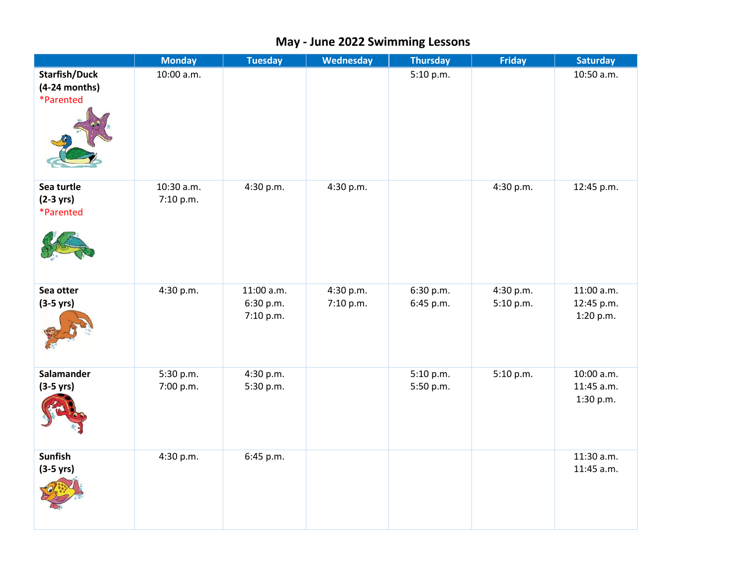|                                                      | <b>Monday</b>           | <b>Tuesday</b>                       | <b>Wednesday</b>       | <b>Thursday</b>        | <b>Friday</b>          | <b>Saturday</b>                       |
|------------------------------------------------------|-------------------------|--------------------------------------|------------------------|------------------------|------------------------|---------------------------------------|
| <b>Starfish/Duck</b><br>$(4-24$ months)<br>*Parented | 10:00 a.m.              |                                      |                        | 5:10 p.m.              |                        | 10:50 a.m.                            |
| Sea turtle<br>$(2-3 \text{ yrs})$<br>*Parented       | 10:30 a.m.<br>7:10 p.m. | 4:30 p.m.                            | 4:30 p.m.              |                        | 4:30 p.m.              | 12:45 p.m.                            |
| Sea otter<br>$(3-5$ yrs)                             | 4:30 p.m.               | 11:00 a.m.<br>6:30 p.m.<br>7:10 p.m. | 4:30 p.m.<br>7:10 p.m. | 6:30 p.m.<br>6:45 p.m. | 4:30 p.m.<br>5:10 p.m. | 11:00 a.m.<br>12:45 p.m.<br>1:20 p.m. |
| Salamander<br>$(3-5$ yrs)                            | 5:30 p.m.<br>7:00 p.m.  | 4:30 p.m.<br>5:30 p.m.               |                        | 5:10 p.m.<br>5:50 p.m. | 5:10 p.m.              | 10:00 a.m.<br>11:45 a.m.<br>1:30 p.m. |
| <b>Sunfish</b><br>$(3-5$ yrs)                        | 4:30 p.m.               | 6:45 p.m.                            |                        |                        |                        | 11:30 a.m.<br>11:45 a.m.              |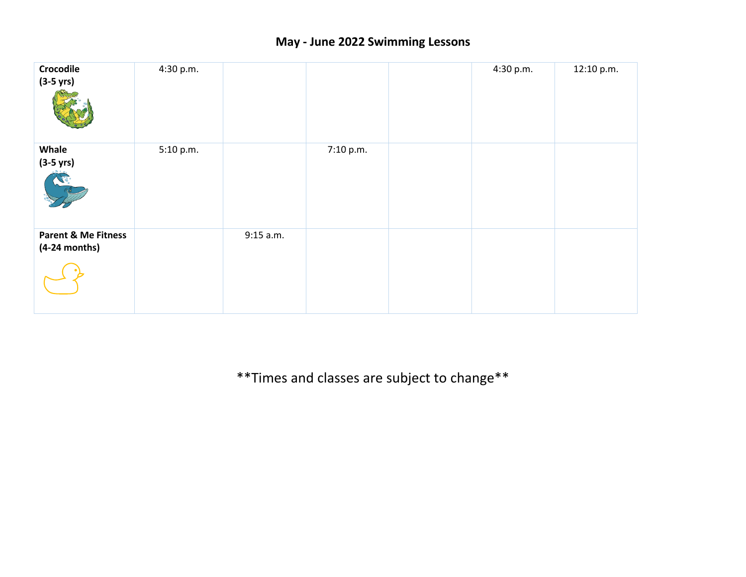| Crocodile<br>$(3-5 \text{ yrs})$                  | 4:30 p.m. |             |           | 4:30 p.m. | 12:10 p.m. |
|---------------------------------------------------|-----------|-------------|-----------|-----------|------------|
| Whale<br>$(3-5 \text{ yrs})$                      | 5:10 p.m. |             | 7:10 p.m. |           |            |
| <b>Parent &amp; Me Fitness</b><br>$(4-24$ months) |           | $9:15$ a.m. |           |           |            |

\*\*Times and classes are subject to change\*\*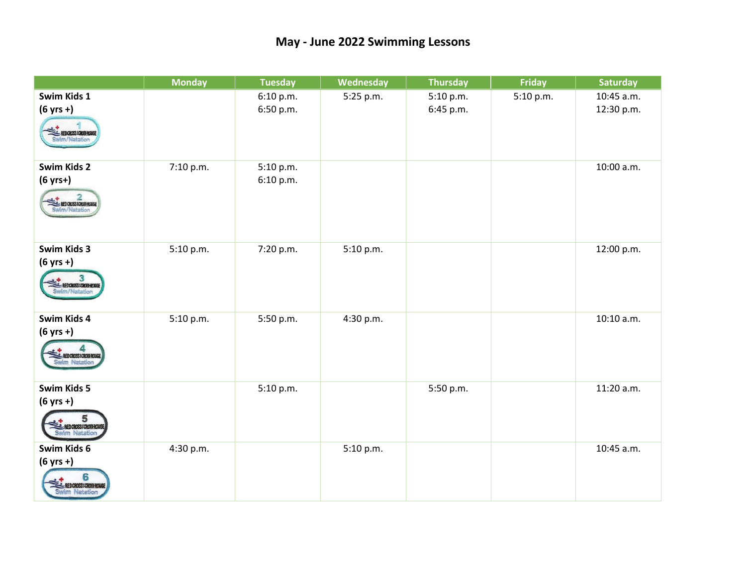|                                                                           | <b>Monday</b> | <b>Tuesday</b>         | Wednesday | <b>Thursday</b>        | <b>Friday</b> | <b>Saturday</b>          |
|---------------------------------------------------------------------------|---------------|------------------------|-----------|------------------------|---------------|--------------------------|
| Swim Kids 1<br>$(6 \text{ yrs +})$<br>REDCROSSICROUGHOUGE                 |               | 6:10 p.m.<br>6:50 p.m. | 5:25 p.m. | 5:10 p.m.<br>6:45 p.m. | 5:10 p.m.     | 10:45 a.m.<br>12:30 p.m. |
| Swim Kids 2<br>$(6 yrs+)$<br>REDCROSSIONORROUGE                           | 7:10 p.m.     | 5:10 p.m.<br>6:10 p.m. |           |                        |               | 10:00 a.m.               |
| Swim Kids 3<br>$(6 yrs + )$<br>REDCROSSIONOURROUGE<br>Swim/Natation       | 5:10 p.m.     | 7:20 p.m.              | 5:10 p.m. |                        |               | 12:00 p.m.               |
| Swim Kids 4<br>$(6 yrs + )$<br><b>EL REDCROSSICRON-ROUGE</b>              | 5:10 p.m.     | 5:50 p.m.              | 4:30 p.m. |                        |               | $10:10$ a.m.             |
| Swim Kids 5<br>$(6 yrs + )$<br><b>EL REDCROSSICROTHOUGE</b>               |               | 5:10 p.m.              |           | 5:50 p.m.              |               | 11:20 a.m.               |
| Swim Kids 6<br>$(6 yrs + )$<br>RED CROSSICRON-ROUGH<br><b>Mm Natation</b> | 4:30 p.m.     |                        | 5:10 p.m. |                        |               | 10:45 a.m.               |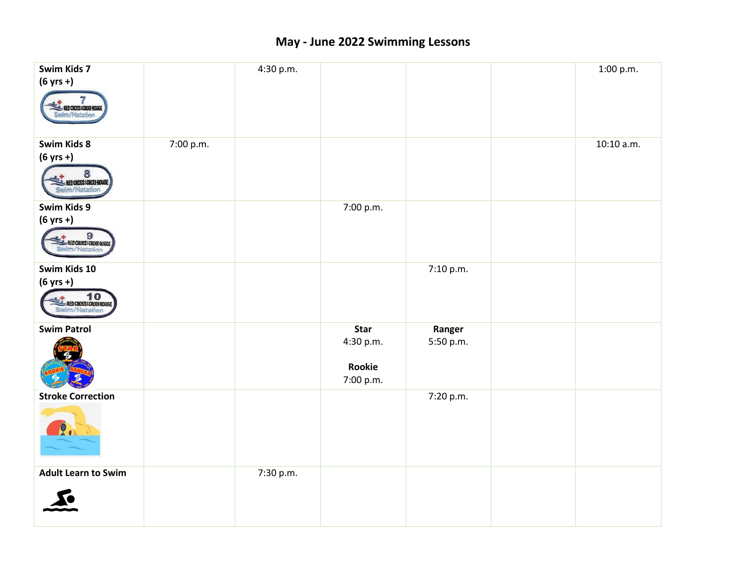| Swim Kids 7                              |           | 4:30 p.m. |           |           | 1:00 p.m.  |
|------------------------------------------|-----------|-----------|-----------|-----------|------------|
| $(6 \text{ yrs +})$                      |           |           |           |           |            |
| RED CROSS / CROIX-ROUGE<br>Swim/Natation |           |           |           |           |            |
| Swim Kids 8                              | 7:00 p.m. |           |           |           | 10:10 a.m. |
| $(6 yrs + )$                             |           |           |           |           |            |
| 8<br>REDCROSSICROUGHOUGE                 |           |           |           |           |            |
| Swim Kids 9                              |           |           | 7:00 p.m. |           |            |
| $(6 \text{ yrs +})$                      |           |           |           |           |            |
| EL REDCROSSICROWROUGE                    |           |           |           |           |            |
| Swim Kids 10                             |           |           |           | 7:10 p.m. |            |
| $(6 yrs + )$                             |           |           |           |           |            |
| REDCROSSICROWROUGE                       |           |           |           |           |            |
| <b>Swim Patrol</b>                       |           |           | Star      | Ranger    |            |
|                                          |           |           | 4:30 p.m. | 5:50 p.m. |            |
|                                          |           |           | Rookie    |           |            |
|                                          |           |           | 7:00 p.m. |           |            |
| <b>Stroke Correction</b>                 |           |           |           | 7:20 p.m. |            |
| 2.                                       |           |           |           |           |            |
| <b>Adult Learn to Swim</b>               |           | 7:30 p.m. |           |           |            |
|                                          |           |           |           |           |            |
|                                          |           |           |           |           |            |